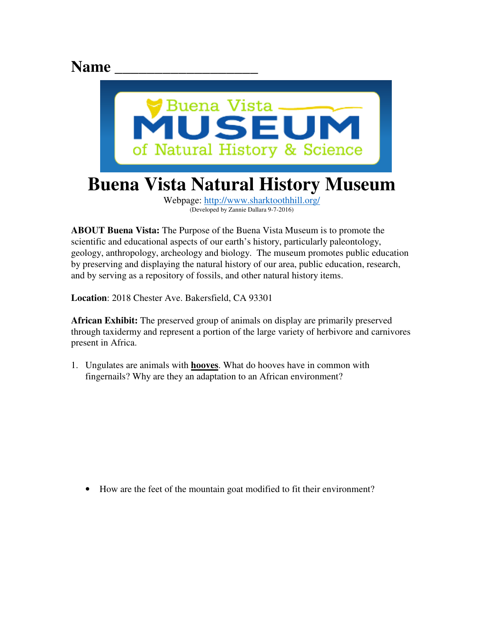## Name



**ABOUT Buena Vista:** The Purpose of the Buena Vista Museum is to promote the scientific and educational aspects of our earth's history, particularly paleontology, geology, anthropology, archeology and biology. The museum promotes public education by preserving and displaying the natural history of our area, public education, research, and by serving as a repository of fossils, and other natural history items.

**Location**: 2018 Chester Ave. Bakersfield, CA 93301

**African Exhibit:** The preserved group of animals on display are primarily preserved through taxidermy and represent a portion of the large variety of herbivore and carnivores present in Africa.

1. Ungulates are animals with **hooves**. What do hooves have in common with fingernails? Why are they an adaptation to an African environment?

• How are the feet of the mountain goat modified to fit their environment?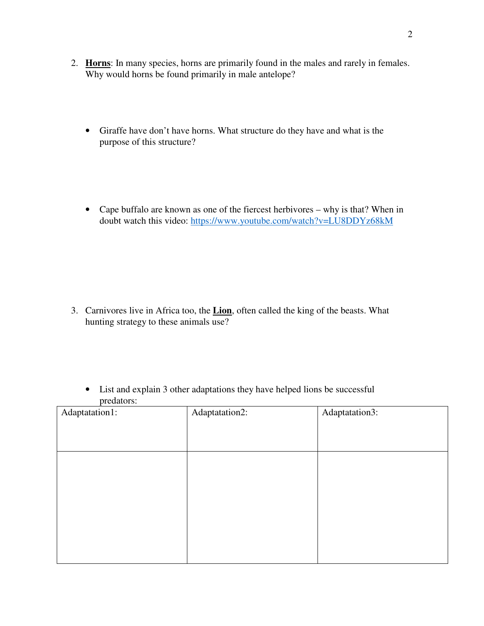- 2. **Horns**: In many species, horns are primarily found in the males and rarely in females. Why would horns be found primarily in male antelope?
	- Giraffe have don't have horns. What structure do they have and what is the purpose of this structure?
	- Cape buffalo are known as one of the fiercest herbivores why is that? When in doubt watch this video: https://www.youtube.com/watch?v=LU8DDYz68kM

- 3. Carnivores live in Africa too, the **Lion**, often called the king of the beasts. What hunting strategy to these animals use?
	- List and explain 3 other adaptations they have helped lions be successful predators:

| Adaptatation1: | Adaptatation2: | Adaptatation3: |
|----------------|----------------|----------------|
|                |                |                |
|                |                |                |
|                |                |                |
|                |                |                |
|                |                |                |
|                |                |                |
|                |                |                |
|                |                |                |
|                |                |                |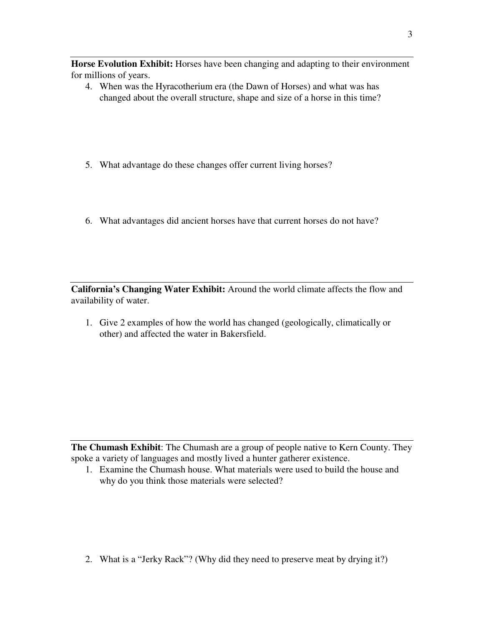**Horse Evolution Exhibit:** Horses have been changing and adapting to their environment for millions of years.

- 4. When was the Hyracotherium era (the Dawn of Horses) and what was has changed about the overall structure, shape and size of a horse in this time?
- 5. What advantage do these changes offer current living horses?
- 6. What advantages did ancient horses have that current horses do not have?

**California's Changing Water Exhibit:** Around the world climate affects the flow and availability of water.

1. Give 2 examples of how the world has changed (geologically, climatically or other) and affected the water in Bakersfield.

**The Chumash Exhibit**: The Chumash are a group of people native to Kern County. They spoke a variety of languages and mostly lived a hunter gatherer existence.

1. Examine the Chumash house. What materials were used to build the house and why do you think those materials were selected?

2. What is a "Jerky Rack"? (Why did they need to preserve meat by drying it?)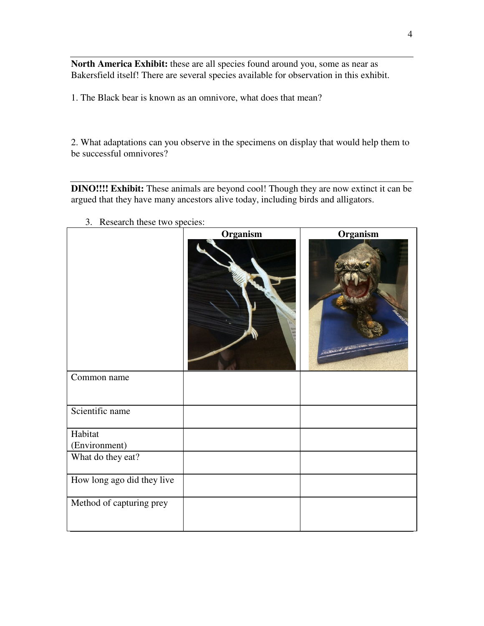**North America Exhibit:** these are all species found around you, some as near as Bakersfield itself! There are several species available for observation in this exhibit.

1. The Black bear is known as an omnivore, what does that mean?

2. What adaptations can you observe in the specimens on display that would help them to be successful omnivores?

**DINO!!!! Exhibit:** These animals are beyond cool! Though they are now extinct it can be argued that they have many ancestors alive today, including birds and alligators.

|                            | Organism | Organism |
|----------------------------|----------|----------|
| Common name                |          |          |
| Scientific name            |          |          |
| Habitat                    |          |          |
| (Environment)              |          |          |
| What do they eat?          |          |          |
| How long ago did they live |          |          |
| Method of capturing prey   |          |          |

3. Research these two species: